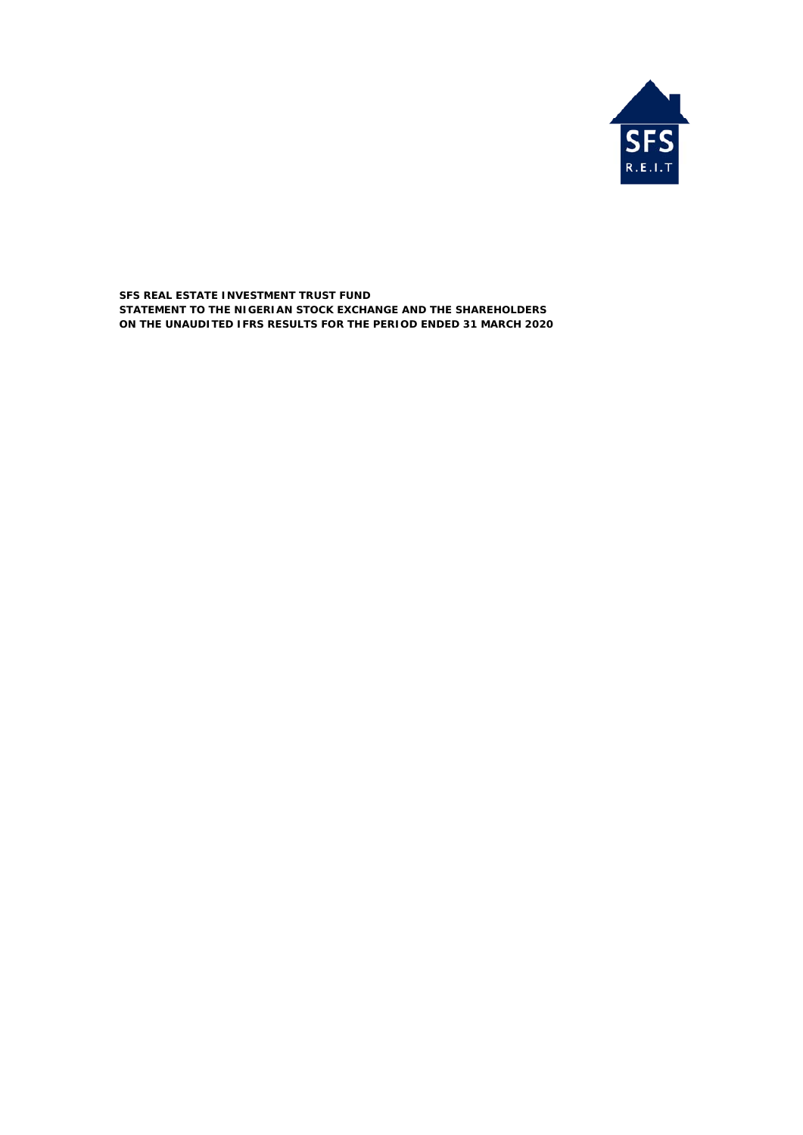

**SFS REAL ESTATE INVESTMENT TRUST FUND ON THE UNAUDITED IFRS RESULTS FOR THE PERIOD ENDED 31 MARCH 2020 STATEMENT TO THE NIGERIAN STOCK EXCHANGE AND THE SHAREHOLDERS**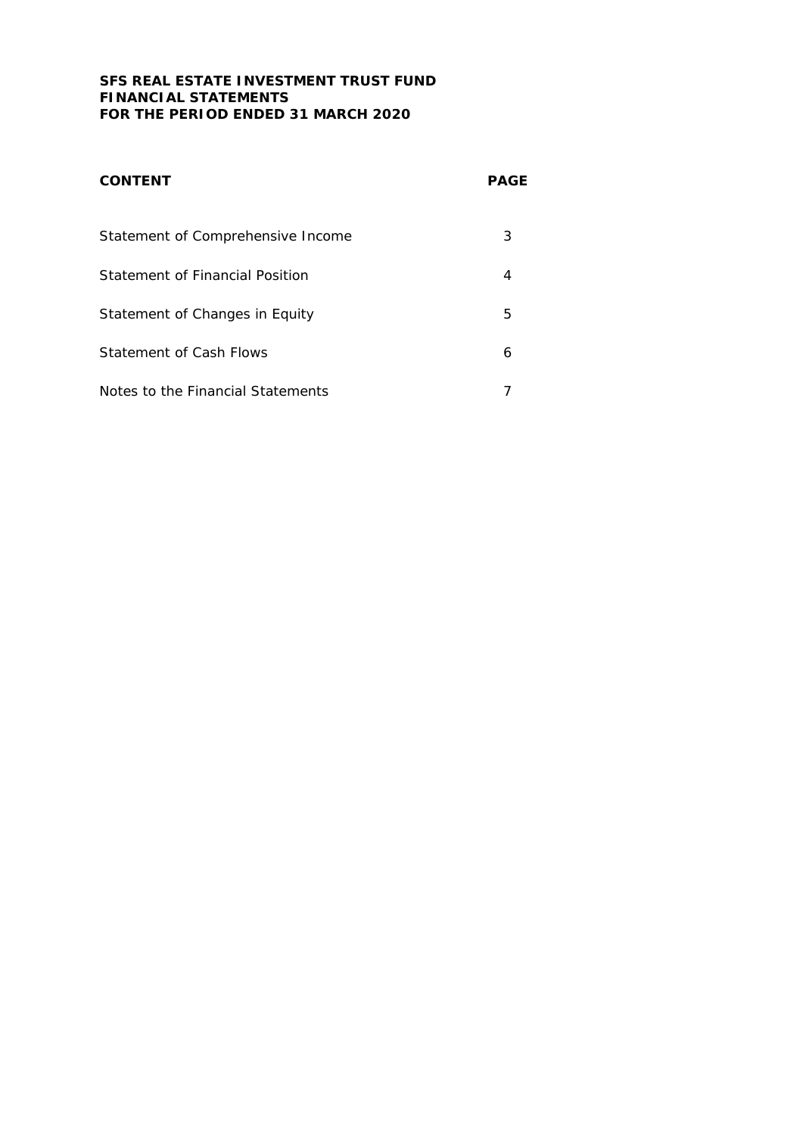## **SFS REAL ESTATE INVESTMENT TRUST FUND FINANCIAL STATEMENTS FOR THE PERIOD ENDED 31 MARCH 2020**

| <b>CONTENT</b>                    | <b>PAGE</b> |
|-----------------------------------|-------------|
| Statement of Comprehensive Income | 3           |
| Statement of Financial Position   | 4           |
| Statement of Changes in Equity    | 5           |
| Statement of Cash Flows           | 6           |
| Notes to the Financial Statements |             |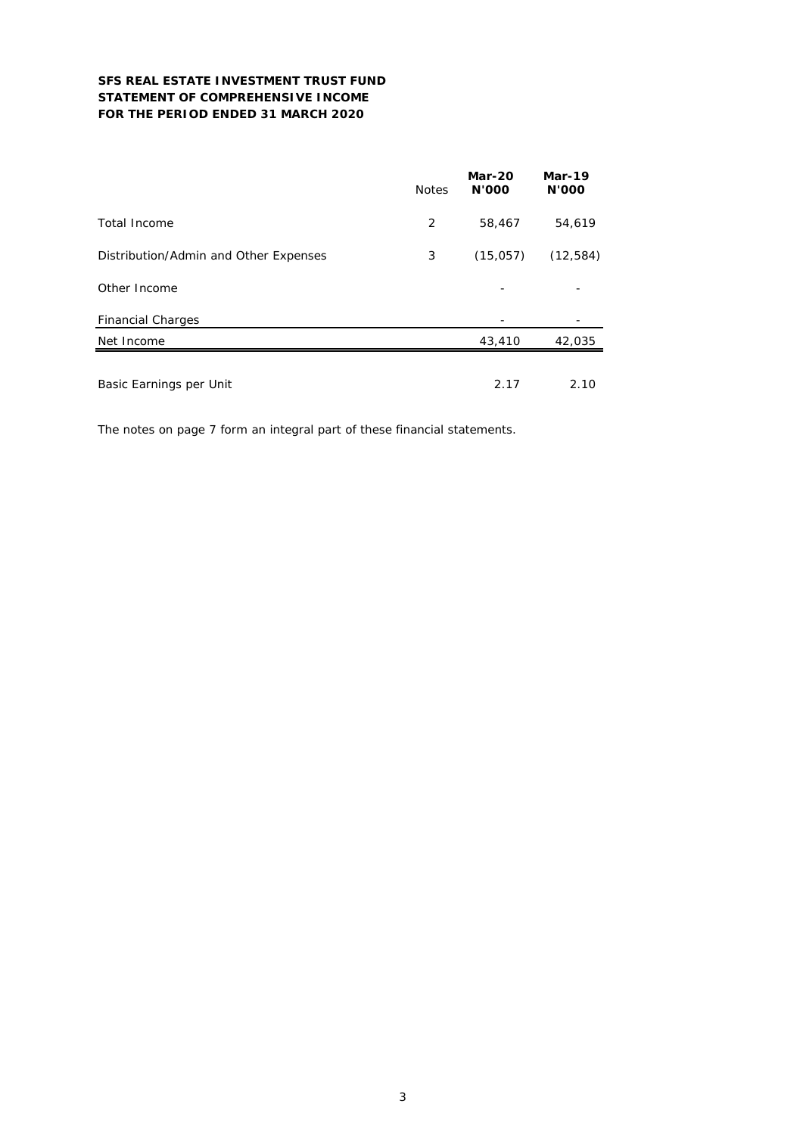## **SFS REAL ESTATE INVESTMENT TRUST FUND STATEMENT OF COMPREHENSIVE INCOME FOR THE PERIOD ENDED 31 MARCH 2020**

|                                       | <b>Notes</b> | <b>Mar-20</b><br><b>N'OOO</b> | <b>Mar-19</b><br><b>N'OOO</b> |
|---------------------------------------|--------------|-------------------------------|-------------------------------|
| Total Income                          | 2            | 58,467                        | 54,619                        |
| Distribution/Admin and Other Expenses | 3            | (15,057)                      | (12, 584)                     |
| Other Income                          |              |                               |                               |
| <b>Financial Charges</b>              |              |                               |                               |
| Net Income                            |              | 43,410                        | 42,035                        |
| Basic Earnings per Unit               |              | 2.17                          | 2.10                          |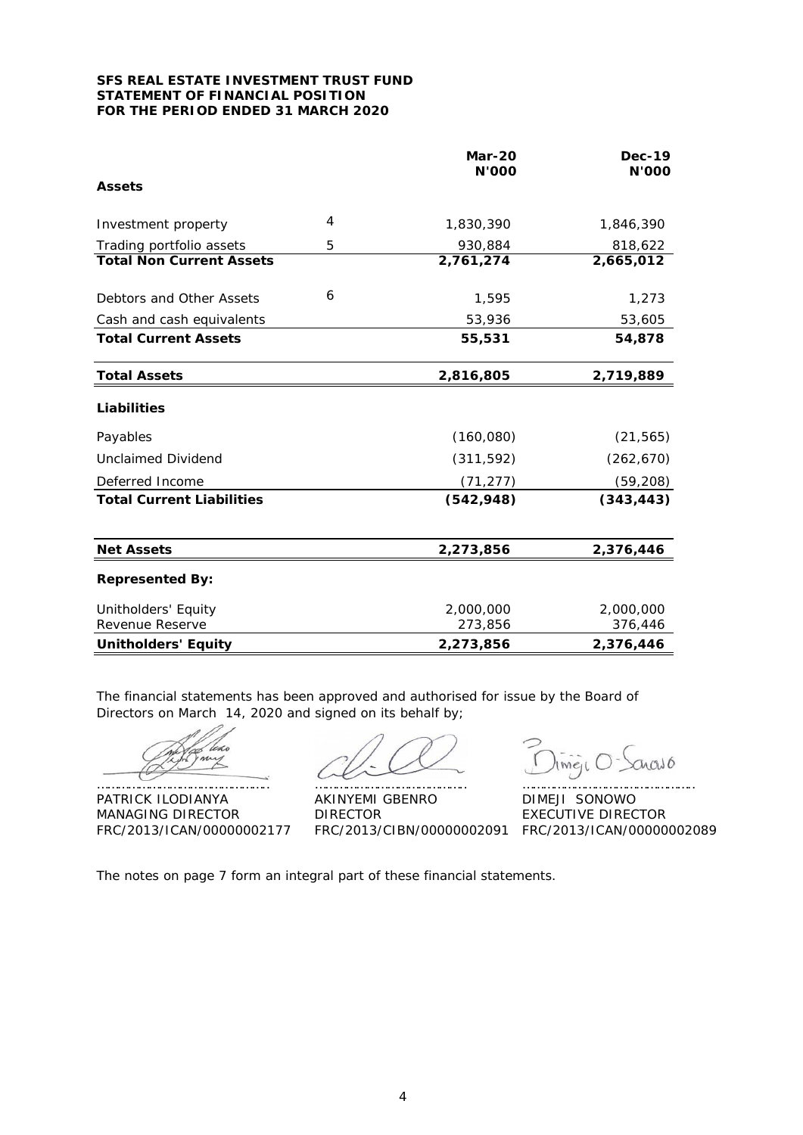### **SFS REAL ESTATE INVESTMENT TRUST FUND STATEMENT OF FINANCIAL POSITION FOR THE PERIOD ENDED 31 MARCH 2020**

|                                        |                | <b>Mar-20</b><br><b>N'000</b> | <b>Dec-19</b><br>N'000 |
|----------------------------------------|----------------|-------------------------------|------------------------|
| <b>Assets</b>                          |                |                               |                        |
| Investment property                    | $\overline{4}$ | 1,830,390                     | 1,846,390              |
| Trading portfolio assets               | 5              | 930,884                       | 818,622                |
| <b>Total Non Current Assets</b>        |                | 2,761,274                     | 2,665,012              |
| Debtors and Other Assets               | 6              | 1,595                         | 1,273                  |
| Cash and cash equivalents              |                | 53,936                        | 53,605                 |
| <b>Total Current Assets</b>            |                | 55,531                        | 54,878                 |
| <b>Total Assets</b>                    |                | 2,816,805                     | 2,719,889              |
| Liabilities                            |                |                               |                        |
| Payables                               |                | (160, 080)                    | (21, 565)              |
| Unclaimed Dividend                     |                | (311, 592)                    | (262, 670)             |
| Deferred Income                        |                | (71, 277)                     | (59, 208)              |
| <b>Total Current Liabilities</b>       |                | (542, 948)                    | (343, 443)             |
| <b>Net Assets</b>                      |                | 2,273,856                     | 2,376,446              |
| <b>Represented By:</b>                 |                |                               |                        |
| Unitholders' Equity<br>Revenue Reserve |                | 2,000,000<br>273,856          | 2,000,000<br>376,446   |
| <b>Unitholders' Equity</b>             |                | 2,273,856                     | 2,376,446              |

The financial statements has been approved and authorised for issue by the Board of Directors on March 14, 2020 and signed on its behalf by;

do

PATRICK ILODIANYA AKINYEMI GBENRO DIMEJI SONOWO MANAGING DIRECTOR DIRECTOR DIRECTOR EXECUTIVE DIRECTOR

………………………………………….. …………………………………….. …………………………………………..

uado Ime<sub>I</sub>c

FRC/2013/ICAN/00000002177 FRC/2013/CIBN/00000002091 FRC/2013/ICAN/00000002089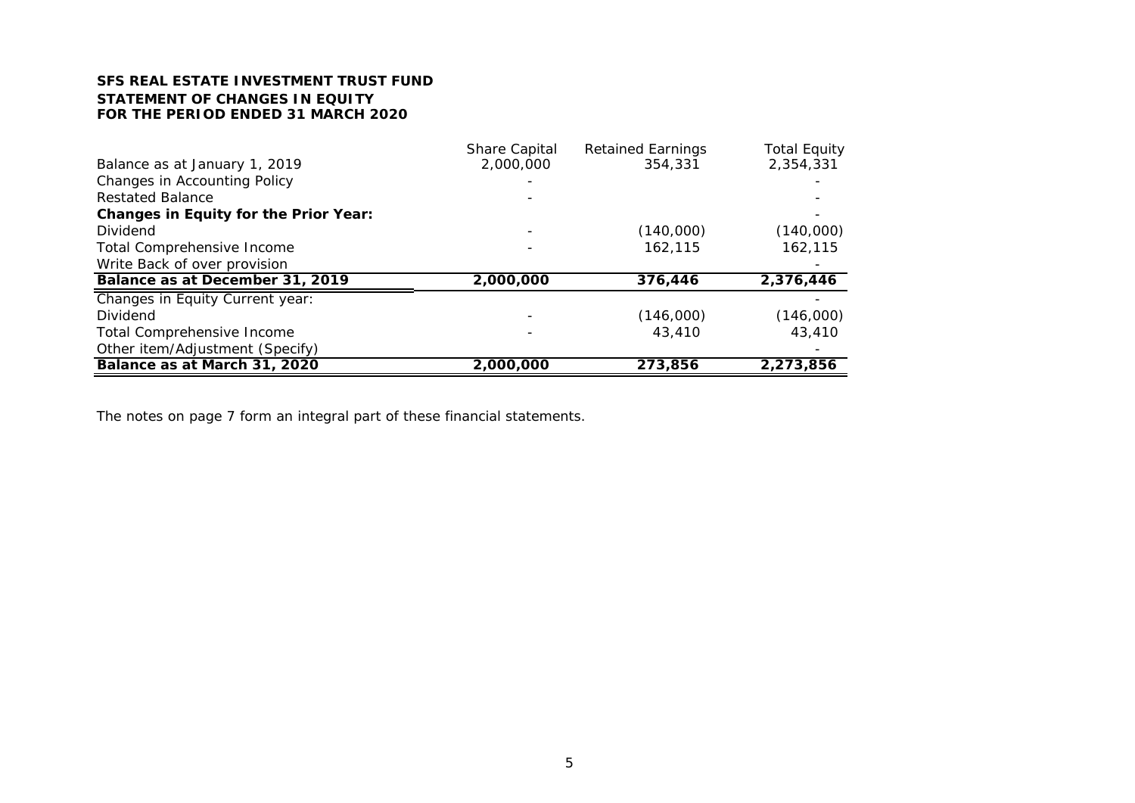# **SFS REAL ESTATE INVESTMENT TRUST FUNDSTATEMENT OF CHANGES IN EQUITYFOR THE PERIOD ENDED 31 MARCH 2020**

|                                              | <b>Share Capital</b> | <b>Retained Earnings</b> | <b>Total Equity</b> |
|----------------------------------------------|----------------------|--------------------------|---------------------|
| Balance as at January 1, 2019                | 2,000,000            | 354,331                  | 2,354,331           |
| <b>Changes in Accounting Policy</b>          |                      |                          |                     |
| <b>Restated Balance</b>                      |                      |                          |                     |
| <b>Changes in Equity for the Prior Year:</b> |                      |                          |                     |
| Dividend                                     |                      | (140,000)                | (140,000)           |
| <b>Total Comprehensive Income</b>            |                      | 162,115                  | 162,115             |
| Write Back of over provision                 |                      |                          |                     |
| Balance as at December 31, 2019              | 2,000,000            | 376,446                  | 2,376,446           |
| Changes in Equity Current year:              |                      |                          |                     |
| Dividend                                     |                      | (146,000)                | (146,000)           |
| Total Comprehensive Income                   |                      | 43,410                   | 43,410              |
| Other item/Adjustment (Specify)              |                      |                          |                     |
| Balance as at March 31, 2020                 | 2,000,000            | 273,856                  | 2,273,856           |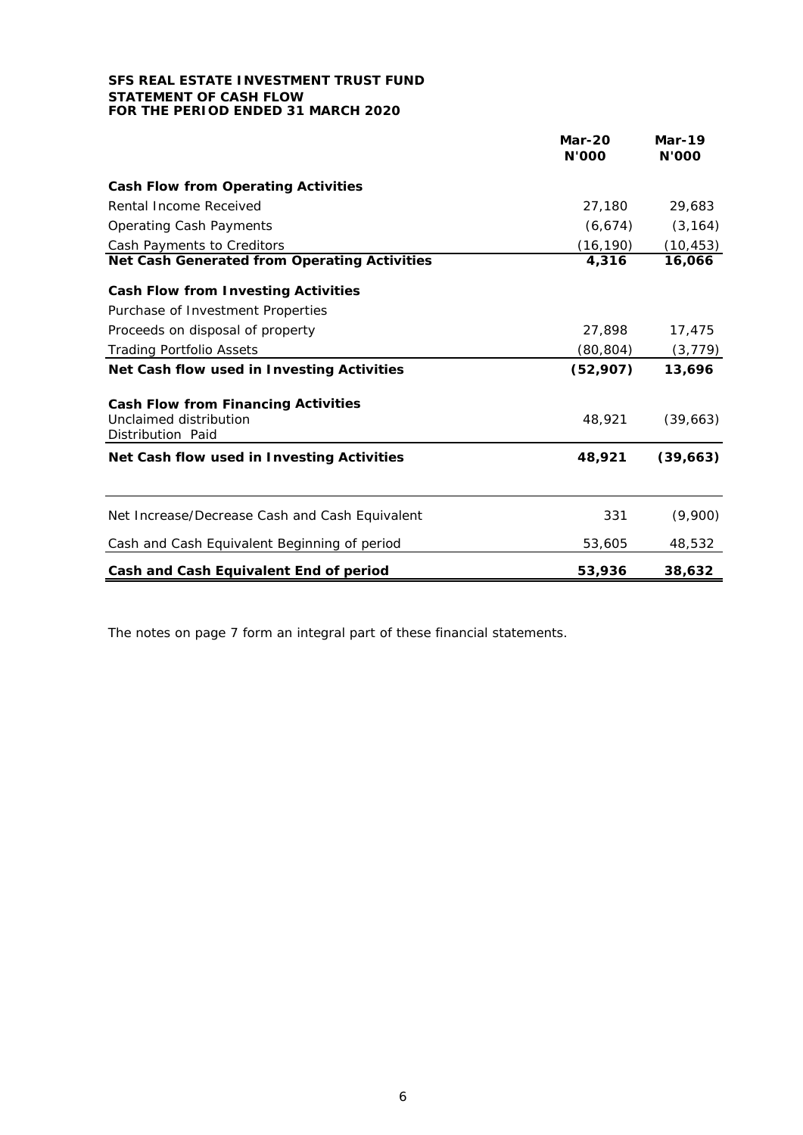## **SFS REAL ESTATE INVESTMENT TRUST FUND STATEMENT OF CASH FLOW FOR THE PERIOD ENDED 31 MARCH 2020**

|                                                                                           | <b>Mar-20</b><br><b>N'000</b> | <b>Mar-19</b><br><b>N'000</b> |
|-------------------------------------------------------------------------------------------|-------------------------------|-------------------------------|
| <b>Cash Flow from Operating Activities</b>                                                |                               |                               |
| Rental Income Received                                                                    | 27,180                        | 29,683                        |
| <b>Operating Cash Payments</b>                                                            | (6, 674)                      | (3, 164)                      |
| Cash Payments to Creditors                                                                | (16, 190)                     | (10,453)                      |
| Net Cash Generated from Operating Activities                                              | 4,316                         | 16,066                        |
| <b>Cash Flow from Investing Activities</b>                                                |                               |                               |
| Purchase of Investment Properties                                                         |                               |                               |
| Proceeds on disposal of property                                                          | 27,898                        | 17,475                        |
| <b>Trading Portfolio Assets</b>                                                           | (80, 804)                     | (3, 779)                      |
| Net Cash flow used in Investing Activities                                                | (52,907)                      | 13,696                        |
| <b>Cash Flow from Financing Activities</b><br>Unclaimed distribution<br>Distribution Paid | 48.921                        | (39,663)                      |
| Net Cash flow used in Investing Activities                                                | 48,921                        | (39,663)                      |
| Net Increase/Decrease Cash and Cash Equivalent                                            | 331                           | (9,900)                       |
| Cash and Cash Equivalent Beginning of period                                              | 53,605                        | 48,532                        |
| Cash and Cash Equivalent End of period                                                    | 53,936                        | 38,632                        |